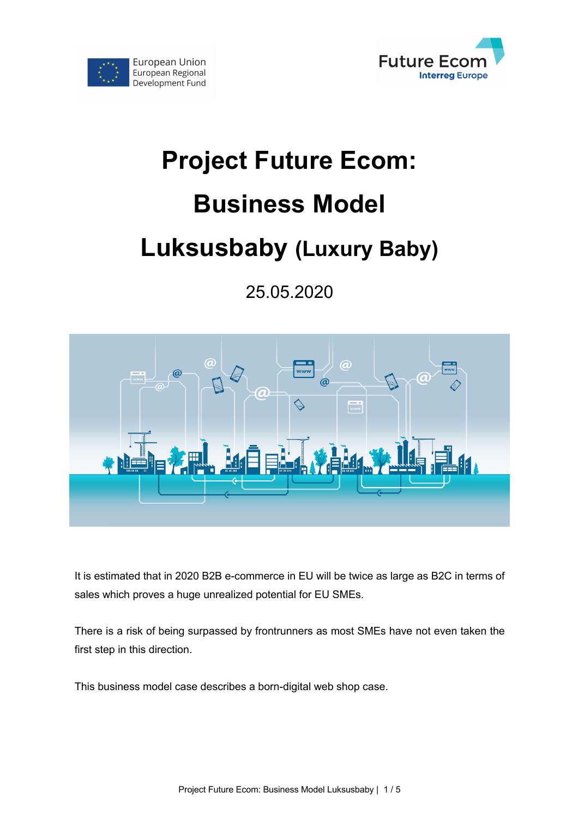

# **Project Future Ecom: Business Model Luksusbaby (Luxury Baby)**

European Union European Regional

Development Fund

25.05.2020



It is estimated that in 2020 B2B e-commerce in EU will be twice as large as B2C in terms of sales which proves a huge unrealized potential for EU SMEs.

There is a risk of being surpassed by frontrunners as most SMEs have not even taken the first step in this direction.

This business model case describes a born-digital web shop case.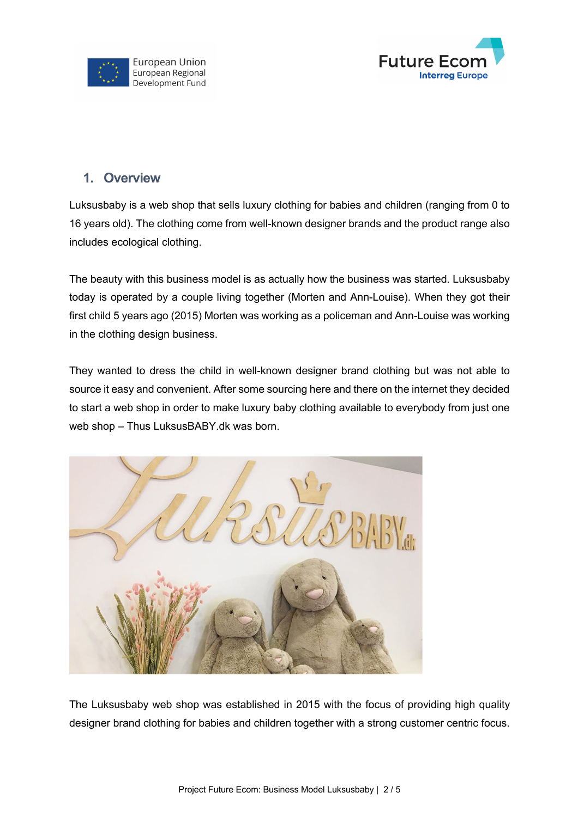



## **1. Overview**

Luksusbaby is a web shop that sells luxury clothing for babies and children (ranging from 0 to 16 years old). The clothing come from well-known designer brands and the product range also includes ecological clothing.

The beauty with this business model is as actually how the business was started. Luksusbaby today is operated by a couple living together (Morten and Ann-Louise). When they got their first child 5 years ago (2015) Morten was working as a policeman and Ann-Louise was working in the clothing design business.

They wanted to dress the child in well-known designer brand clothing but was not able to source it easy and convenient. After some sourcing here and there on the internet they decided to start a web shop in order to make luxury baby clothing available to everybody from just one web shop – Thus LuksusBABY.dk was born.



The Luksusbaby web shop was established in 2015 with the focus of providing high quality designer brand clothing for babies and children together with a strong customer centric focus.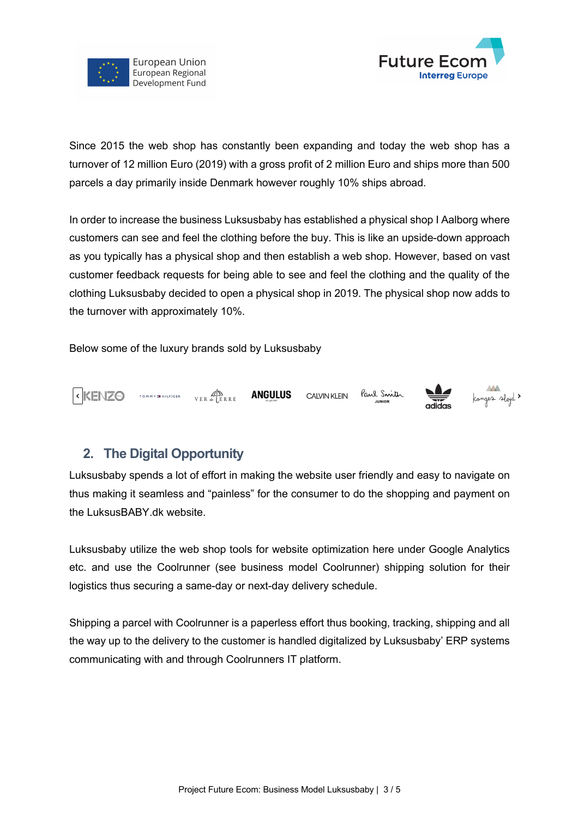



Since 2015 the web shop has constantly been expanding and today the web shop has a turnover of 12 million Euro (2019) with a gross profit of 2 million Euro and ships more than 500 parcels a day primarily inside Denmark however roughly 10% ships abroad.

In order to increase the business Luksusbaby has established a physical shop I Aalborg where customers can see and feel the clothing before the buy. This is like an upside-down approach as you typically has a physical shop and then establish a web shop. However, based on vast customer feedback requests for being able to see and feel the clothing and the quality of the clothing Luksusbaby decided to open a physical shop in 2019. The physical shop now adds to the turnover with approximately 10%.

Below some of the luxury brands sold by Luksusbaby



# **2. The Digital Opportunity**

Luksusbaby spends a lot of effort in making the website user friendly and easy to navigate on thus making it seamless and "painless" for the consumer to do the shopping and payment on the LuksusBABY.dk website.

Luksusbaby utilize the web shop tools for website optimization here under Google Analytics etc. and use the Coolrunner (see business model Coolrunner) shipping solution for their logistics thus securing a same-day or next-day delivery schedule.

Shipping a parcel with Coolrunner is a paperless effort thus booking, tracking, shipping and all the way up to the delivery to the customer is handled digitalized by Luksusbaby' ERP systems communicating with and through Coolrunners IT platform.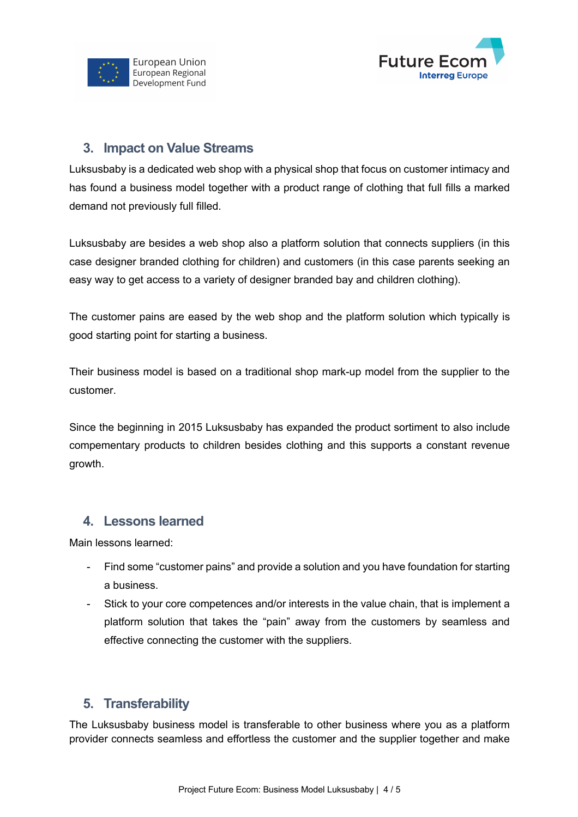



### **3. Impact on Value Streams**

Luksusbaby is a dedicated web shop with a physical shop that focus on customer intimacy and has found a business model together with a product range of clothing that full fills a marked demand not previously full filled.

Luksusbaby are besides a web shop also a platform solution that connects suppliers (in this case designer branded clothing for children) and customers (in this case parents seeking an easy way to get access to a variety of designer branded bay and children clothing).

The customer pains are eased by the web shop and the platform solution which typically is good starting point for starting a business.

Their business model is based on a traditional shop mark-up model from the supplier to the customer.

Since the beginning in 2015 Luksusbaby has expanded the product sortiment to also include compementary products to children besides clothing and this supports a constant revenue growth.

#### **4. Lessons learned**

Main lessons learned:

- Find some "customer pains" and provide a solution and you have foundation for starting a business.
- Stick to your core competences and/or interests in the value chain, that is implement a platform solution that takes the "pain" away from the customers by seamless and effective connecting the customer with the suppliers.

#### **5. Transferability**

The Luksusbaby business model is transferable to other business where you as a platform provider connects seamless and effortless the customer and the supplier together and make